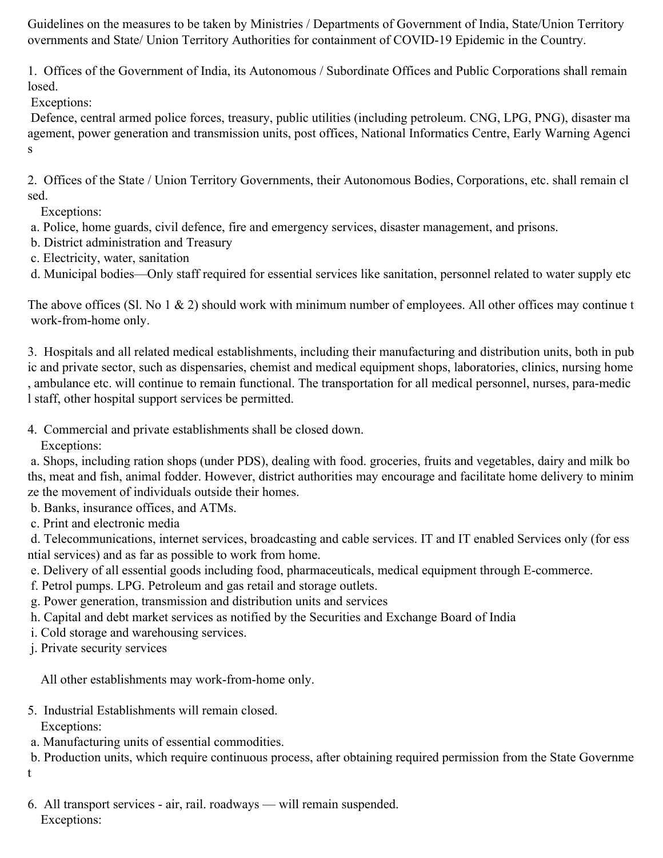Guidelines on the measures to be taken by Ministries / Departments of Government of India, State/Union Territory overnments and State/ Union Territory Authorities for containment of COVID-19 Epidemic in the Country.

1. Offices of the Government of India, its Autonomous / Subordinate Offices and Public Corporations shall remain losed.

Exceptions:

Defence, central armed police forces, treasury, public utilities (including petroleum. CNG, LPG, PNG), disaster ma agement, power generation and transmission units, post offices, National Informatics Centre, Early Warning Agenci s

2. Offices of the State / Union Territory Governments, their Autonomous Bodies, Corporations, etc. shall remain cl sed.

Exceptions:

- a. Police, home guards, civil defence, fire and emergency services, disaster management, and prisons.
- b. District administration and Treasury
- c. Electricity, water, sanitation

d. Municipal bodies—Only staff required for essential services like sanitation, personnel related to water supply etc

The above offices (Sl. No 1  $\&$  2) should work with minimum number of employees. All other offices may continue t work-from-home only.

3. Hospitals and all related medical establishments, including their manufacturing and distribution units, both in pub ic and private sector, such as dispensaries, chemist and medical equipment shops, laboratories, clinics, nursing home , ambulance etc. will continue to remain functional. The transportation for all medical personnel, nurses, para-medic l staff, other hospital support services be permitted.

4. Commercial and private establishments shall be closed down.

Exceptions:

a. Shops, including ration shops (under PDS), dealing with food. groceries, fruits and vegetables, dairy and milk bo ths, meat and fish, animal fodder. However, district authorities may encourage and facilitate home delivery to minim ze the movement of individuals outside their homes.

b. Banks, insurance offices, and ATMs.

c. Print and electronic media

d. Telecommunications, internet services, broadcasting and cable services. IT and IT enabled Services only (for ess ntial services) and as far as possible to work from home.

- e. Delivery of all essential goods including food, pharmaceuticals, medical equipment through E-commerce.
- f. Petrol pumps. LPG. Petroleum and gas retail and storage outlets.
- g. Power generation, transmission and distribution units and services
- h. Capital and debt market services as notified by the Securities and Exchange Board of India
- i. Cold storage and warehousing services.
- j. Private security services

All other establishments may work-from-home only.

- 5. Industrial Establishments will remain closed. Exceptions:
- a. Manufacturing units of essential commodities.

b. Production units, which require continuous process, after obtaining required permission from the State Governme t

6. All transport services - air, rail. roadways — will remain suspended. Exceptions: